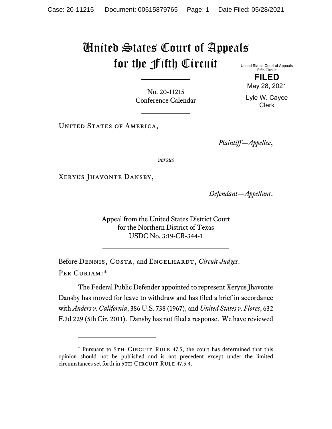## United States Court of Appeals for the Fifth Circuit United States Court of Appeals

No. 20-11215 Conference Calendar

UNITED STATES OF AMERICA,

*Plaintiff—Appellee*,

*versus*

Xeryus Jhavonte Dansby,

*Defendant—Appellant*.

Appeal from the United States District Court for the Northern District of Texas USDC No. 3:19-CR-344-1

Before DENNIS, COSTA, and ENGELHARDT, *Circuit Judges*. Per Curiam:[\\*](#page-0-0)

The Federal Public Defender appointed to represent Xeryus Jhavonte Dansby has moved for leave to withdraw and has filed a brief in accordance with *Anders v. California*, 386 U.S. 738 (1967), and *United States v. Flores*, 632 F.3d 229 (5th Cir. 2011). Dansby has not filed a response. We have reviewed

Fifth Circuit **FILED**

May 28, 2021

Lyle W. Cayce Clerk

<span id="page-0-0"></span><sup>\*</sup> Pursuant to 5TH CIRCUIT RULE 47.5, the court has determined that this opinion should not be published and is not precedent except under the limited circumstances set forth in 5TH CIRCUIT RULE 47.5.4.